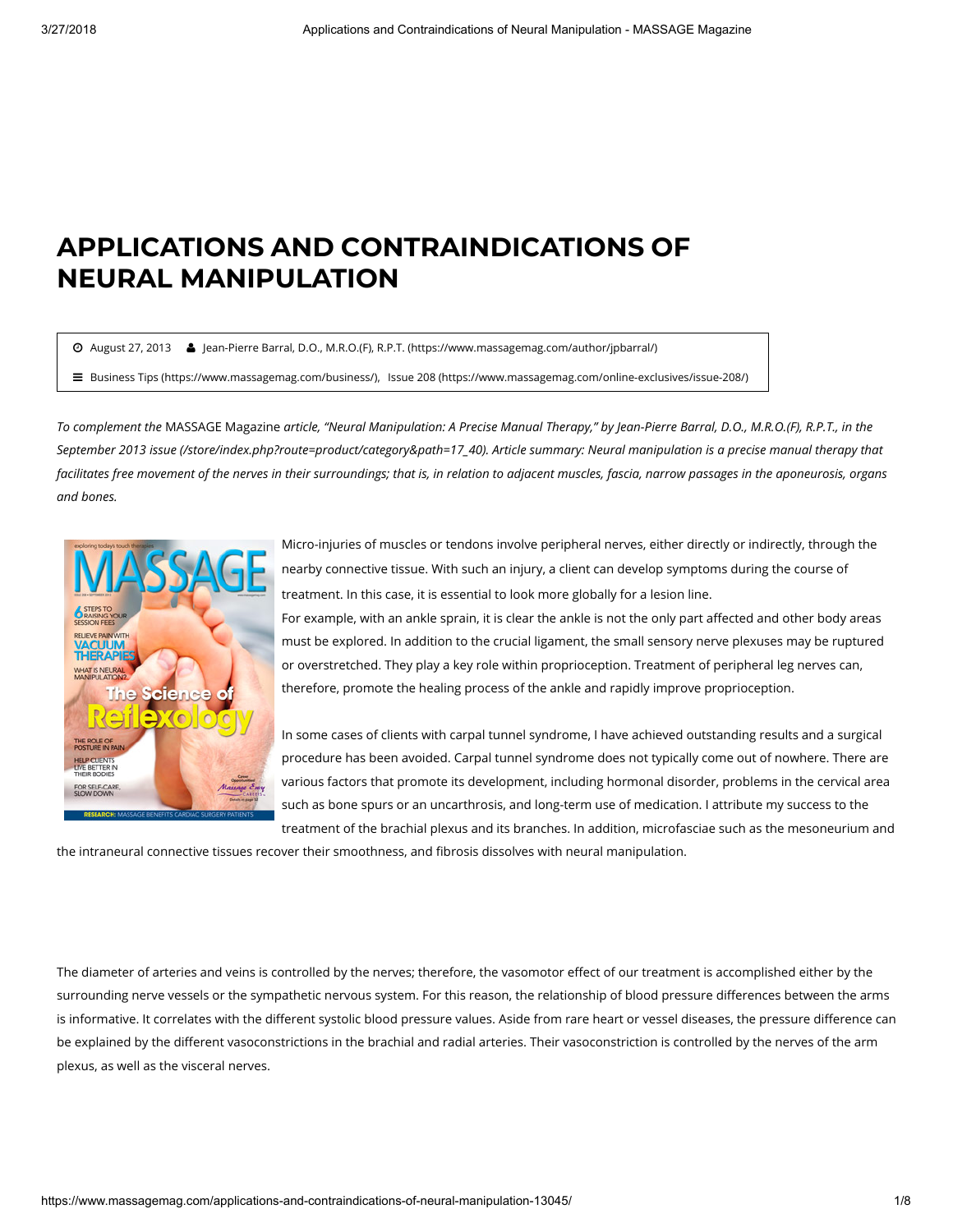## APPLICATIONS AND CONTRAINDICATIONS OF NEURAL MANIPULATION

August 27, 2013 [Jean-Pierre Barral, D.O., M.R.O.\(F\), R.P.T. \(https://www.massagemag.com/author/jpbarral/\)](https://www.massagemag.com/author/jpbarral/)

[Business Tips \(https://www.massagemag.com/business/\)](https://www.massagemag.com/business/), [Issue 208 \(https://www.massagemag.com/online-exclusives/issue-208/\)](https://www.massagemag.com/online-exclusives/issue-208/)

To complement the MASSAGE Magazine article, "Neural Manipulation: A Precise Manual Therapy," by Jean-Pierre Barral, D.O., M.R.O.(F), R.P.T., in the [September 2013 issue \(/store/index.php?route=product/category&path=17\\_40\)](https://www.massagemag.com/store/index.php?route=product/category&path=17_40). Article summary: Neural manipulation is a precise manual therapy that facilitates free movement of the nerves in their surroundings; that is, in relation to adjacent muscles, fascia, narrow passages in the aponeurosis, organs and bones.



Micro-injuries of muscles or tendons involve peripheral nerves, either directly or indirectly, through the nearby connective tissue. With such an injury, a client can develop symptoms during the course of treatment. In this case, it is essential to look more globally for a lesion line.

For example, with an ankle sprain, it is clear the ankle is not the only part affected and other body areas must be explored. In addition to the crucial ligament, the small sensory nerve plexuses may be ruptured or overstretched. They play a key role within proprioception. Treatment of peripheral leg nerves can, therefore, promote the healing process of the ankle and rapidly improve proprioception.

In some cases of clients with carpal tunnel syndrome, I have achieved outstanding results and a surgical procedure has been avoided. Carpal tunnel syndrome does not typically come out of nowhere. There are various factors that promote its development, including hormonal disorder, problems in the cervical area such as bone spurs or an uncarthrosis, and long-term use of medication. I attribute my success to the treatment of the brachial plexus and its branches. In addition, microfasciae such as the mesoneurium and

the intraneural connective tissues recover their smoothness, and fibrosis dissolves with neural manipulation.

The diameter of arteries and veins is controlled by the nerves; therefore, the vasomotor effect of our treatment is accomplished either by the surrounding nerve vessels or the sympathetic nervous system. For this reason, the relationship of blood pressure differences between the arms is informative. It correlates with the different systolic blood pressure values. Aside from rare heart or vessel diseases, the pressure difference can be explained by the different vasoconstrictions in the brachial and radial arteries. Their vasoconstriction is controlled by the nerves of the arm plexus, as well as the visceral nerves.